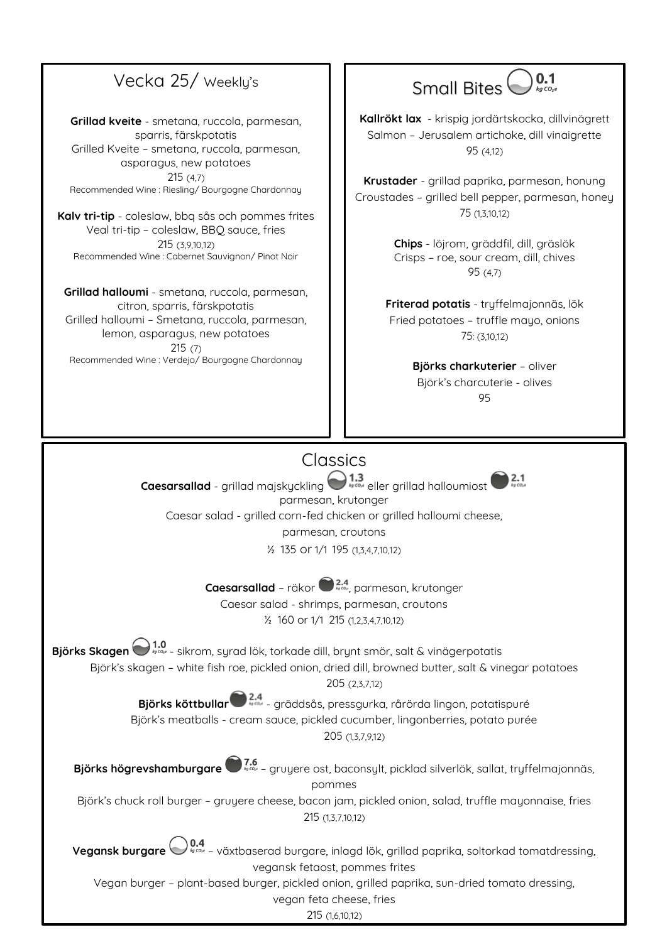## Vecka 25/ Weekly's

**Grillad kveite** - smetana, ruccola, parmesan, sparris, färskpotatis Grilled Kveite – smetana, ruccola, parmesan, asparagus, new potatoes 215 (4,7) Recommended Wine : Riesling/ Bourgogne Chardonnay

**Kalv tri-tip** - coleslaw, bbq sås och pommes frites Veal tri-tip – coleslaw, BBQ sauce, fries 215 (3,9,10,12) Recommended Wine : Cabernet Sauvignon/ Pinot Noir

**Grillad halloumi** - smetana, ruccola, parmesan, citron, sparris, färskpotatis Grilled halloumi – Smetana, ruccola, parmesan, lemon, asparagus, new potatoes 215 (7) Recommended Wine : Verdejo/ Bourgogne Chardonnay

#### $0.1$ Small Bites<sup>(</sup>

**Kallrökt lax** - krispig jordärtskocka, dillvinägrett Salmon – Jerusalem artichoke, dill vinaigrette 95 (4,12)

**Krustader** - grillad paprika, parmesan, honung Croustades – grilled bell pepper, parmesan, honey 75 (1,3,10,12)

> **Chips** - löjrom, gräddfil, dill, gräslök Crisps – roe, sour cream, dill, chives 95 (4,7)

**Friterad potatis** - tryffelmajonnäs, lök Fried potatoes – truffle mayo, onions 75: (3,10,12)

> **Björks charkuterier** – oliver Björk's charcuterie - olives 95

## **Classics**

**Caesarsallad** - grillad majskyckling **eller** grillad halloumiost parmesan, krutonger Caesar salad - grilled corn-fed chicken or grilled halloumi cheese, parmesan, croutons

½ 135 or 1/1 195 (1,3,4,7,10,12)

**Caesarsallad** – räkor  $\bigcirc$  <sup>2.4</sup> parmesan, krutonger

Caesar salad - shrimps, parmesan, croutons ½ 160 or 1/1 215 (1,2,3,4,7,10,12)

**Björks Skagen**  $\bigodot$ <sup>1.0</sup><sub>1500</sub> - sikrom, syrad lök, torkade dill, brynt smör, salt & vinägerpotatis Björk's skagen – white fish roe, pickled onion, dried dill, browned butter, salt & vinegar potatoes

205 (2,3,7,12)

Björks köttbullar<sup>22.4</sup> - gräddsås, pressgurka, rårörda lingon, potatispuré Björk's meatballs - cream sauce, pickled cucumber, lingonberries, potato purée 205 (1,3,7,9,12)

**Björks högrevshamburgare** – gruyere ost, baconsylt, picklad silverlök, sallat, tryffelmajonnäs, pommes

Björk's chuck roll burger – gruyere cheese, bacon jam, pickled onion, salad, truffle mayonnaise, fries 215 (1,3,7,10,12)

**Vegansk burgare** – växtbaserad burgare, inlagd lök, grillad paprika, soltorkad tomatdressing, vegansk fetaost, pommes frites

Vegan burger – plant-based burger, pickled onion, grilled paprika, sun-dried tomato dressing,

vegan feta cheese, fries

215 (1,6,10,12)